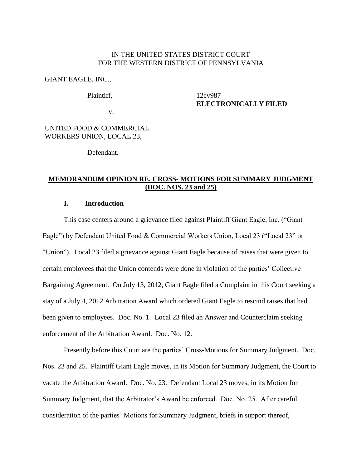## IN THE UNITED STATES DISTRICT COURT FOR THE WESTERN DISTRICT OF PENNSYLVANIA

### GIANT EAGLE, INC.,

#### Plaintiff,

# 12cv987 **ELECTRONICALLY FILED**

v.

## UNITED FOOD & COMMERCIAL WORKERS UNION, LOCAL 23,

Defendant.

# **MEMORANDUM OPINION RE. CROSS- MOTIONS FOR SUMMARY JUDGMENT (DOC. NOS. 23 and 25)**

# **I. Introduction**

This case centers around a grievance filed against Plaintiff Giant Eagle, Inc. ("Giant Eagle") by Defendant United Food & Commercial Workers Union, Local 23 ("Local 23" or "Union"). Local 23 filed a grievance against Giant Eagle because of raises that were given to certain employees that the Union contends were done in violation of the parties' Collective Bargaining Agreement. On July 13, 2012, Giant Eagle filed a Complaint in this Court seeking a stay of a July 4, 2012 Arbitration Award which ordered Giant Eagle to rescind raises that had been given to employees. Doc. No. 1. Local 23 filed an Answer and Counterclaim seeking enforcement of the Arbitration Award. Doc. No. 12.

Presently before this Court are the parties' Cross-Motions for Summary Judgment. Doc. Nos. 23 and 25. Plaintiff Giant Eagle moves, in its Motion for Summary Judgment, the Court to vacate the Arbitration Award. Doc. No. 23. Defendant Local 23 moves, in its Motion for Summary Judgment, that the Arbitrator's Award be enforced. Doc. No. 25. After careful consideration of the parties' Motions for Summary Judgment, briefs in support thereof,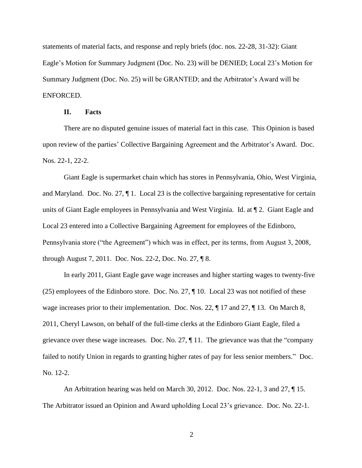statements of material facts, and response and reply briefs (doc. nos. 22-28, 31-32): Giant Eagle's Motion for Summary Judgment (Doc. No. 23) will be DENIED; Local 23's Motion for Summary Judgment (Doc. No. 25) will be GRANTED; and the Arbitrator's Award will be ENFORCED.

#### **II. Facts**

There are no disputed genuine issues of material fact in this case. This Opinion is based upon review of the parties' Collective Bargaining Agreement and the Arbitrator's Award. Doc. Nos. 22-1, 22-2.

Giant Eagle is supermarket chain which has stores in Pennsylvania, Ohio, West Virginia, and Maryland. Doc. No. 27,  $\P$ 1. Local 23 is the collective bargaining representative for certain units of Giant Eagle employees in Pennsylvania and West Virginia. Id. at ¶ 2. Giant Eagle and Local 23 entered into a Collective Bargaining Agreement for employees of the Edinboro, Pennsylvania store ("the Agreement") which was in effect, per its terms, from August 3, 2008, through August 7, 2011. Doc. Nos. 22-2, Doc. No. 27, ¶ 8.

In early 2011, Giant Eagle gave wage increases and higher starting wages to twenty-five (25) employees of the Edinboro store. Doc. No. 27, ¶ 10. Local 23 was not notified of these wage increases prior to their implementation. Doc. Nos. 22, ¶ 17 and 27, ¶ 13. On March 8, 2011, Cheryl Lawson, on behalf of the full-time clerks at the Edinboro Giant Eagle, filed a grievance over these wage increases. Doc. No. 27, ¶ 11. The grievance was that the "company failed to notify Union in regards to granting higher rates of pay for less senior members." Doc. No. 12-2.

An Arbitration hearing was held on March 30, 2012. Doc. Nos. 22-1, 3 and 27, ¶ 15. The Arbitrator issued an Opinion and Award upholding Local 23's grievance. Doc. No. 22-1.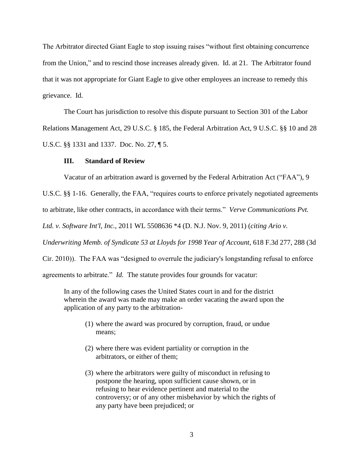The Arbitrator directed Giant Eagle to stop issuing raises "without first obtaining concurrence from the Union," and to rescind those increases already given. Id. at 21. The Arbitrator found that it was not appropriate for Giant Eagle to give other employees an increase to remedy this grievance. Id.

The Court has jurisdiction to resolve this dispute pursuant to Section 301 of the Labor Relations Management Act, 29 U.S.C. § 185, the Federal Arbitration Act, 9 U.S.C. §§ 10 and 28 U.S.C. §§ 1331 and 1337. Doc. No. 27, ¶ 5.

### **III. Standard of Review**

Vacatur of an arbitration award is governed by the Federal Arbitration Act ("FAA"), 9

U.S.C. §§ 1-16. Generally, the FAA, "requires courts to enforce privately negotiated agreements

to arbitrate, like other contracts, in accordance with their terms." *Verve Communications Pvt.* 

*Ltd. v. Software Int'l, Inc.,* 2011 WL 5508636 \*4 (D. N.J. Nov. 9, 2011) (*citing Ario v.* 

*Underwriting Memb. of Syndicate 53 at Lloyds for 1998 Year of Account*, 618 F.3d 277, 288 (3d

Cir. 2010)). The FAA was "designed to overrule the judiciary's longstanding refusal to enforce

agreements to arbitrate." *Id.* The statute provides four grounds for vacatur:

In any of the following cases the United States court in and for the district wherein the award was made may make an order vacating the award upon the application of any party to the arbitration-

- (1) where the award was procured by corruption, fraud, or undue means;
- (2) where there was evident partiality or corruption in the arbitrators, or either of them;
- (3) where the arbitrators were guilty of misconduct in refusing to postpone the hearing, upon sufficient cause shown, or in refusing to hear evidence pertinent and material to the controversy; or of any other misbehavior by which the rights of any party have been prejudiced; or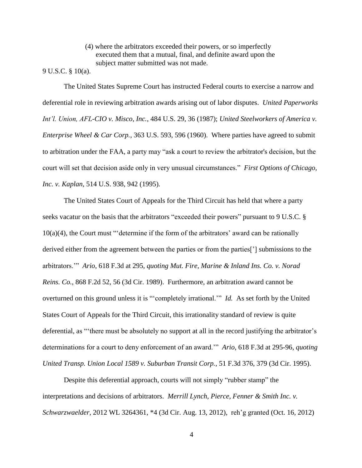(4) where the arbitrators exceeded their powers, or so imperfectly executed them that a mutual, final, and definite award upon the subject matter submitted was not made.

9 U.S.C. § 10(a).

The United States Supreme Court has instructed Federal courts to exercise a narrow and deferential role in reviewing arbitration awards arising out of labor disputes. *United Paperworks Int'l. Union, AFL-CIO v. Misco, Inc.*, 484 U.S. 29, 36 (1987); *United Steelworkers of America v. Enterprise Wheel & Car Corp.*, 363 U.S. 593, 596 (1960). Where parties have agreed to submit to arbitration under the FAA, a party may "ask a court to review the arbitrator's decision, but the court will set that decision aside only in very unusual circumstances." *First Options of Chicago, Inc. v. Kaplan,* 514 U.S. 938, 942 (1995).

The United States Court of Appeals for the Third Circuit has held that where a party seeks vacatur on the basis that the arbitrators "exceeded their powers" pursuant to 9 U.S.C. § 10(a)(4), the Court must "'determine if the form of the arbitrators' award can be rationally derived either from the agreement between the parties or from the parties['] submissions to the arbitrators.'" *Ario*, 618 F.3d at 295, *quoting Mut. Fire, Marine & Inland Ins. Co. v. Norad Reins. Co.*, 868 F.2d 52, 56 (3d Cir. 1989). Furthermore, an arbitration award cannot be overturned on this ground unless it is "'completely irrational.'" *Id.* As set forth by the United States Court of Appeals for the Third Circuit, this irrationality standard of review is quite deferential, as "'there must be absolutely no support at all in the record justifying the arbitrator's determinations for a court to deny enforcement of an award.'" *Ario*, 618 F.3d at 295-96, *quoting United Transp. Union Local 1589 v. Suburban Transit Corp.*, 51 F.3d 376, 379 (3d Cir. 1995).

Despite this deferential approach, courts will not simply "rubber stamp" the interpretations and decisions of arbitrators. *Merrill Lynch, Pierce, Fenner & Smith Inc. v. Schwarzwaelder*, 2012 WL 3264361, \*4 (3d Cir. Aug. 13, 2012), reh'g granted (Oct. 16, 2012)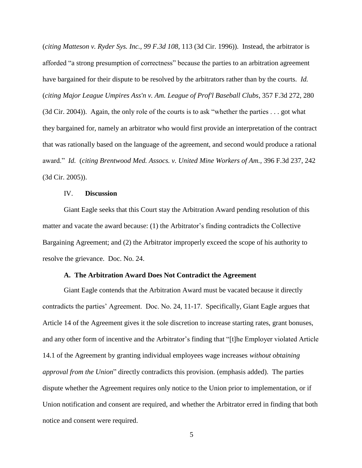(*citing Matteson v. Ryder Sys. Inc., 99 F.3d 108*, 113 (3d Cir. 1996)). Instead, the arbitrator is afforded "a strong presumption of correctness" because the parties to an arbitration agreement have bargained for their dispute to be resolved by the arbitrators rather than by the courts. *Id.*  (*citing Major League Umpires Ass'n v. Am. League of Prof'l Baseball Clubs*, 357 F.3d 272, 280 (3d Cir. 2004)). Again, the only role of the courts is to ask "whether the parties . . . got what they bargained for, namely an arbitrator who would first provide an interpretation of the contract that was rationally based on the language of the agreement, and second would produce a rational award." *Id.* (*citing Brentwood Med. Assocs. v. United Mine Workers of Am.,* 396 F.3d 237, 242 (3d Cir. 2005)).

## IV. **Discussion**

 Giant Eagle seeks that this Court stay the Arbitration Award pending resolution of this matter and vacate the award because: (1) the Arbitrator's finding contradicts the Collective Bargaining Agreement; and (2) the Arbitrator improperly exceed the scope of his authority to resolve the grievance. Doc. No. 24.

### **A. The Arbitration Award Does Not Contradict the Agreement**

Giant Eagle contends that the Arbitration Award must be vacated because it directly contradicts the parties' Agreement. Doc. No. 24, 11-17. Specifically, Giant Eagle argues that Article 14 of the Agreement gives it the sole discretion to increase starting rates, grant bonuses, and any other form of incentive and the Arbitrator's finding that "[t]he Employer violated Article 14.1 of the Agreement by granting individual employees wage increases *without obtaining approval from the Union*" directly contradicts this provision. (emphasis added). The parties dispute whether the Agreement requires only notice to the Union prior to implementation, or if Union notification and consent are required, and whether the Arbitrator erred in finding that both notice and consent were required.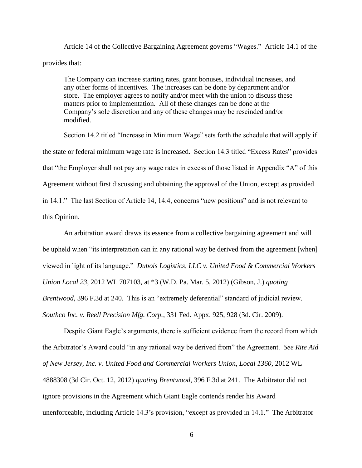Article 14 of the Collective Bargaining Agreement governs "Wages." Article 14.1 of the provides that:

The Company can increase starting rates, grant bonuses, individual increases, and any other forms of incentives. The increases can be done by department and/or store. The employer agrees to notify and/or meet with the union to discuss these matters prior to implementation. All of these changes can be done at the Company's sole discretion and any of these changes may be rescinded and/or modified.

Section 14.2 titled "Increase in Minimum Wage" sets forth the schedule that will apply if the state or federal minimum wage rate is increased. Section 14.3 titled "Excess Rates" provides that "the Employer shall not pay any wage rates in excess of those listed in Appendix "A" of this Agreement without first discussing and obtaining the approval of the Union, except as provided in 14.1." The last Section of Article 14, 14.4, concerns "new positions" and is not relevant to this Opinion.

An arbitration award draws its essence from a collective bargaining agreement and will be upheld when "its interpretation can in any rational way be derived from the agreement [when] viewed in light of its language." *Dubois Logistics, LLC v. United Food & Commercial Workers Union Local 23*, 2012 WL 707103, at \*3 (W.D. Pa. Mar. 5, 2012) (Gibson, J.) *quoting Brentwood*, 396 F.3d at 240. This is an "extremely deferential" standard of judicial review. *Southco Inc. v. Reell Precision Mfg. Corp.*, 331 Fed. Appx. 925, 928 (3d. Cir. 2009).

Despite Giant Eagle's arguments, there is sufficient evidence from the record from which the Arbitrator's Award could "in any rational way be derived from" the Agreement. *See Rite Aid of New Jersey, Inc. v. United Food and Commercial Workers Union, Local 1360*, 2012 WL 4888308 (3d Cir. Oct. 12, 2012) *quoting Brentwood*, 396 F.3d at 241. The Arbitrator did not ignore provisions in the Agreement which Giant Eagle contends render his Award unenforceable, including Article 14.3's provision, "except as provided in 14.1." The Arbitrator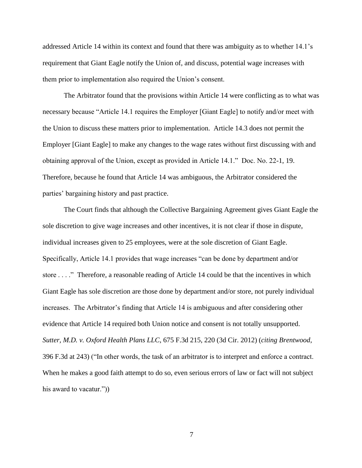addressed Article 14 within its context and found that there was ambiguity as to whether 14.1's requirement that Giant Eagle notify the Union of, and discuss, potential wage increases with them prior to implementation also required the Union's consent.

The Arbitrator found that the provisions within Article 14 were conflicting as to what was necessary because "Article 14.1 requires the Employer [Giant Eagle] to notify and/or meet with the Union to discuss these matters prior to implementation. Article 14.3 does not permit the Employer [Giant Eagle] to make any changes to the wage rates without first discussing with and obtaining approval of the Union, except as provided in Article 14.1." Doc. No. 22-1, 19. Therefore, because he found that Article 14 was ambiguous, the Arbitrator considered the parties' bargaining history and past practice.

The Court finds that although the Collective Bargaining Agreement gives Giant Eagle the sole discretion to give wage increases and other incentives, it is not clear if those in dispute, individual increases given to 25 employees, were at the sole discretion of Giant Eagle. Specifically, Article 14.1 provides that wage increases "can be done by department and/or store . . . ." Therefore, a reasonable reading of Article 14 could be that the incentives in which Giant Eagle has sole discretion are those done by department and/or store, not purely individual increases. The Arbitrator's finding that Article 14 is ambiguous and after considering other evidence that Article 14 required both Union notice and consent is not totally unsupported. *Sutter, M.D. v. Oxford Health Plans LLC*, 675 F.3d 215, 220 (3d Cir. 2012) (*citing Brentwood*, 396 F.3d at 243) ("In other words, the task of an arbitrator is to interpret and enforce a contract. When he makes a good faith attempt to do so, even serious errors of law or fact will not subject his award to vacatur.")

7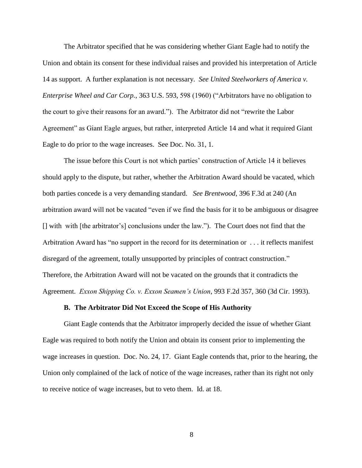The Arbitrator specified that he was considering whether Giant Eagle had to notify the Union and obtain its consent for these individual raises and provided his interpretation of Article 14 as support. A further explanation is not necessary. *See United Steelworkers of America v. Enterprise Wheel and Car Corp.*, 363 U.S. 593, 598 (1960) ("Arbitrators have no obligation to the court to give their reasons for an award."). The Arbitrator did not "rewrite the Labor Agreement" as Giant Eagle argues, but rather, interpreted Article 14 and what it required Giant Eagle to do prior to the wage increases. See Doc. No. 31, 1.

The issue before this Court is not which parties' construction of Article 14 it believes should apply to the dispute, but rather, whether the Arbitration Award should be vacated, which both parties concede is a very demanding standard. *See Brentwood*, 396 F.3d at 240 (An arbitration award will not be vacated "even if we find the basis for it to be ambiguous or disagree [] with with [the arbitrator's] conclusions under the law."). The Court does not find that the Arbitration Award has "no support in the record for its determination or . . . it reflects manifest disregard of the agreement, totally unsupported by principles of contract construction." Therefore, the Arbitration Award will not be vacated on the grounds that it contradicts the Agreement. *Exxon Shipping Co. v. Exxon Seamen's Union*, 993 F.2d 357, 360 (3d Cir. 1993).

### **B. The Arbitrator Did Not Exceed the Scope of His Authority**

Giant Eagle contends that the Arbitrator improperly decided the issue of whether Giant Eagle was required to both notify the Union and obtain its consent prior to implementing the wage increases in question. Doc. No. 24, 17. Giant Eagle contends that, prior to the hearing, the Union only complained of the lack of notice of the wage increases, rather than its right not only to receive notice of wage increases, but to veto them. Id. at 18.

8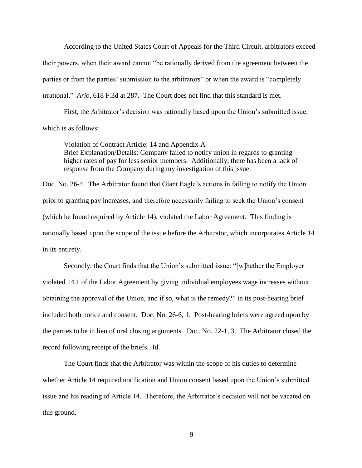According to the United States Court of Appeals for the Third Circuit, arbitrators exceed their powers, when their award cannot "be rationally derived from the agreement between the parties or from the parties' submission to the arbitrators" or when the award is "completely irrational." *Ario*, 618 F.3d at 287. The Court does not find that this standard is met.

First, the Arbitrator's decision was rationally based upon the Union's submitted issue, which is as follows:

Violation of Contract Article: 14 and Appendix A Brief Explanation/Details: Company failed to notify union in regards to granting higher rates of pay for less senior members. Additionally, there has been a lack of response from the Company during my investigation of this issue.

Doc. No. 26-4. The Arbitrator found that Giant Eagle's actions in failing to notify the Union prior to granting pay increases, and therefore necessarily failing to seek the Union's consent (which he found required by Article 14), violated the Labor Agreement. This finding is rationally based upon the scope of the issue before the Arbitrator, which incorporates Article 14 in its entirety.

Secondly, the Court finds that the Union's submitted issue: "[w]hether the Employer violated 14.1 of the Labor Agreement by giving individual employees wage increases without obtaining the approval of the Union, and if so, what is the remedy?" in its post-hearing brief included both notice and consent. Doc. No. 26-6, 1. Post-hearing briefs were agreed upon by the parties to be in lieu of oral closing arguments. Doc. No. 22-1, 3. The Arbitrator closed the record following receipt of the briefs. Id.

The Court finds that the Arbitrator was within the scope of his duties to determine whether Article 14 required notification and Union consent based upon the Union's submitted issue and his reading of Article 14. Therefore, the Arbitrator's decision will not be vacated on this ground.